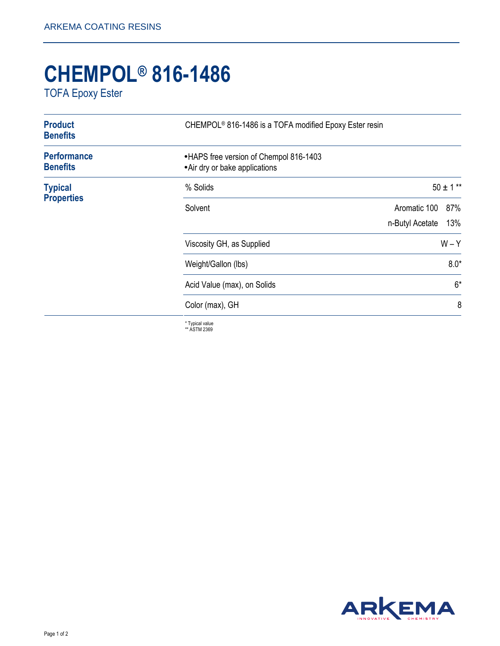## **CHEMPOL® 816-1486**

TOFA Epoxy Ester

| <b>Product</b><br><b>Benefits</b>     | CHEMPOL <sup>®</sup> 816-1486 is a TOFA modified Epoxy Ester resin        |                 |               |
|---------------------------------------|---------------------------------------------------------------------------|-----------------|---------------|
| <b>Performance</b><br><b>Benefits</b> | • HAPS free version of Chempol 816-1403<br>• Air dry or bake applications |                 |               |
| <b>Typical</b><br><b>Properties</b>   | % Solids                                                                  |                 | $50 \pm 1$ ** |
|                                       | Solvent                                                                   | Aromatic 100    | 87%           |
|                                       |                                                                           | n-Butyl Acetate | 13%           |
|                                       | Viscosity GH, as Supplied                                                 |                 | $W - Y$       |
|                                       | Weight/Gallon (lbs)                                                       | $8.0*$          |               |
|                                       | Acid Value (max), on Solids                                               | $6*$            |               |
|                                       | Color (max), GH                                                           | 8               |               |
|                                       | * Typical value                                                           |                 |               |

\* Typical value \*\* ASTM 2369